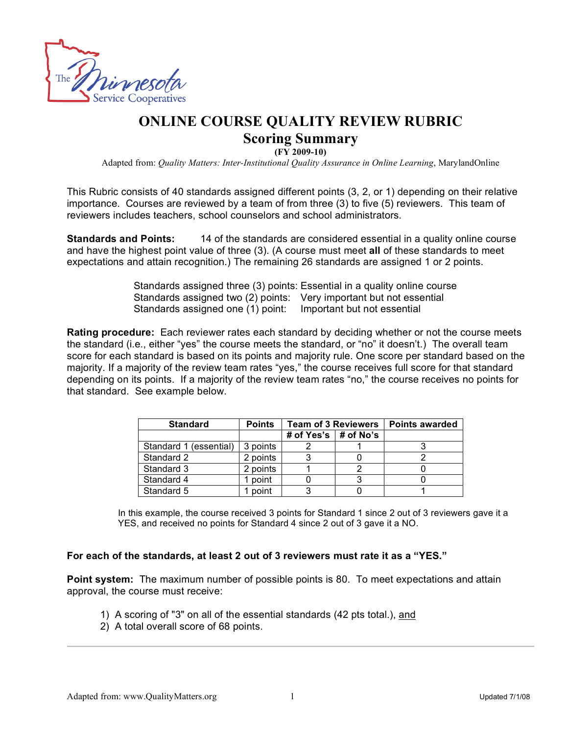

# **ONLINE COURSE QUALITY REVIEW RUBRIC Scoring Summary**

**(FY 2009-10)**

Adapted from: *Quality Matters: Inter-Institutional Quality Assurance in Online Learning*, MarylandOnline

This Rubric consists of 40 standards assigned different points (3, 2, or 1) depending on their relative importance. Courses are reviewed by a team of from three (3) to five (5) reviewers. This team of reviewers includes teachers, school counselors and school administrators.

**Standards and Points:** 14 of the standards are considered essential in a quality online course and have the highest point value of three (3). (A course must meet **all** of these standards to meet expectations and attain recognition.) The remaining 26 standards are assigned 1 or 2 points.

> Standards assigned three (3) points: Essential in a quality online course Standards assigned two (2) points: Very important but not essential Standards assigned one (1) point: Important but not essential

**Rating procedure:** Each reviewer rates each standard by deciding whether or not the course meets the standard (i.e., either "yes" the course meets the standard, or "no" it doesn't.) The overall team score for each standard is based on its points and majority rule. One score per standard based on the majority. If a majority of the review team rates "yes," the course receives full score for that standard depending on its points. If a majority of the review team rates "no," the course receives no points for that standard. See example below.

| <b>Standard</b>        | <b>Points</b> | <b>Team of 3 Reviewers</b>   | <b>Points awarded</b> |
|------------------------|---------------|------------------------------|-----------------------|
|                        |               | # of Yes's $\vert$ # of No's |                       |
| Standard 1 (essential) | 3 points      |                              |                       |
| Standard 2             | 2 points      |                              |                       |
| Standard 3             | 2 points      |                              |                       |
| Standard 4             | point         |                              |                       |
| Standard 5             | point         |                              |                       |

In this example, the course received 3 points for Standard 1 since 2 out of 3 reviewers gave it a YES, and received no points for Standard 4 since 2 out of 3 gave it a NO.

#### **For each of the standards, at least 2 out of 3 reviewers must rate it as a "YES."**

**Point system:** The maximum number of possible points is 80. To meet expectations and attain approval, the course must receive:

- 1) A scoring of "3" on all of the essential standards (42 pts total.), and
- 2) A total overall score of 68 points.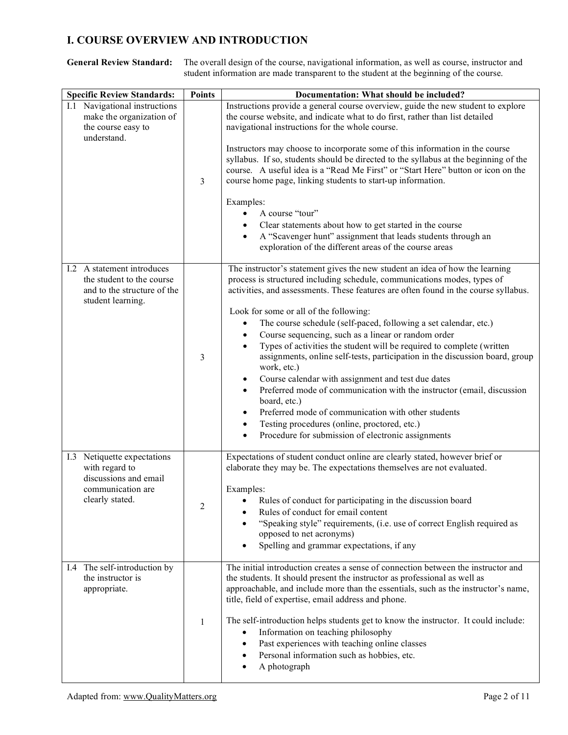#### **I. COURSE OVERVIEW AND INTRODUCTION**

**General Review Standard:** The overall design of the course, navigational information, as well as course, instructor and student information are made transparent to the student at the beginning of the course.

| <b>Specific Review Standards:</b>                                                                              | <b>Points</b> | Documentation: What should be included?                                                                                                                                                                                                                                                                                                                                                                                                                                                                                                                                                                                                                                                                                                                                                                                                                                                                                             |
|----------------------------------------------------------------------------------------------------------------|---------------|-------------------------------------------------------------------------------------------------------------------------------------------------------------------------------------------------------------------------------------------------------------------------------------------------------------------------------------------------------------------------------------------------------------------------------------------------------------------------------------------------------------------------------------------------------------------------------------------------------------------------------------------------------------------------------------------------------------------------------------------------------------------------------------------------------------------------------------------------------------------------------------------------------------------------------------|
| I.1 Navigational instructions<br>make the organization of<br>the course easy to<br>understand.                 | 3             | Instructions provide a general course overview, guide the new student to explore<br>the course website, and indicate what to do first, rather than list detailed<br>navigational instructions for the whole course.<br>Instructors may choose to incorporate some of this information in the course<br>syllabus. If so, students should be directed to the syllabus at the beginning of the<br>course. A useful idea is a "Read Me First" or "Start Here" button or icon on the<br>course home page, linking students to start-up information.<br>Examples:                                                                                                                                                                                                                                                                                                                                                                         |
|                                                                                                                |               | A course "tour"<br>Clear statements about how to get started in the course<br>A "Scavenger hunt" assignment that leads students through an<br>exploration of the different areas of the course areas                                                                                                                                                                                                                                                                                                                                                                                                                                                                                                                                                                                                                                                                                                                                |
| I.2 A statement introduces<br>the student to the course<br>and to the structure of the<br>student learning.    | 3             | The instructor's statement gives the new student an idea of how the learning<br>process is structured including schedule, communications modes, types of<br>activities, and assessments. These features are often found in the course syllabus.<br>Look for some or all of the following:<br>The course schedule (self-paced, following a set calendar, etc.)<br>Course sequencing, such as a linear or random order<br>$\bullet$<br>Types of activities the student will be required to complete (written<br>assignments, online self-tests, participation in the discussion board, group<br>work, etc.)<br>Course calendar with assignment and test due dates<br>Preferred mode of communication with the instructor (email, discussion<br>$\bullet$<br>board, etc.)<br>Preferred mode of communication with other students<br>Testing procedures (online, proctored, etc.)<br>Procedure for submission of electronic assignments |
| I.3 Netiquette expectations<br>with regard to<br>discussions and email<br>communication are<br>clearly stated. | 2             | Expectations of student conduct online are clearly stated, however brief or<br>elaborate they may be. The expectations themselves are not evaluated.<br>Examples:<br>Rules of conduct for participating in the discussion board<br>Rules of conduct for email content<br>"Speaking style" requirements, (i.e. use of correct English required as<br>opposed to net acronyms)<br>Spelling and grammar expectations, if any                                                                                                                                                                                                                                                                                                                                                                                                                                                                                                           |
| I.4 The self-introduction by<br>the instructor is<br>appropriate.                                              | 1             | The initial introduction creates a sense of connection between the instructor and<br>the students. It should present the instructor as professional as well as<br>approachable, and include more than the essentials, such as the instructor's name,<br>title, field of expertise, email address and phone.<br>The self-introduction helps students get to know the instructor. It could include:<br>Information on teaching philosophy<br>Past experiences with teaching online classes<br>Personal information such as hobbies, etc.<br>A photograph                                                                                                                                                                                                                                                                                                                                                                              |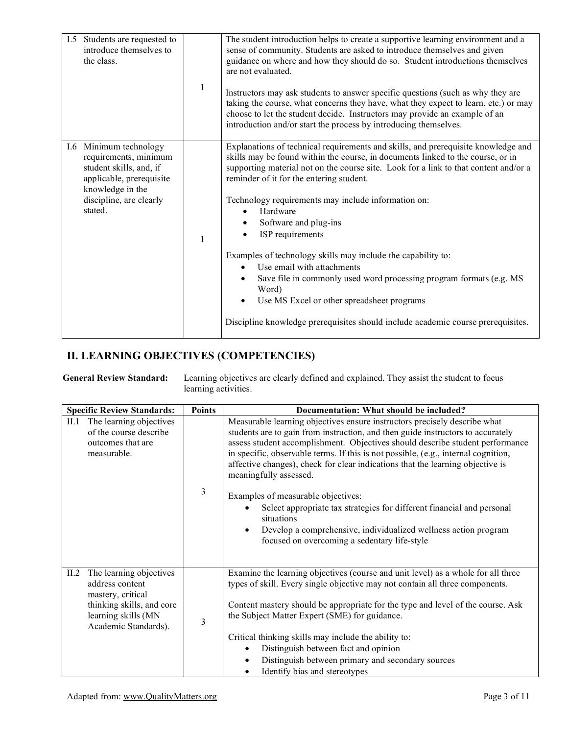| I.5 Students are requested to<br>introduce themselves to<br>the class.                                                                                           | 1 | The student introduction helps to create a supportive learning environment and a<br>sense of community. Students are asked to introduce themselves and given<br>guidance on where and how they should do so. Student introductions themselves<br>are not evaluated.<br>Instructors may ask students to answer specific questions (such as why they are<br>taking the course, what concerns they have, what they expect to learn, etc.) or may<br>choose to let the student decide. Instructors may provide an example of an<br>introduction and/or start the process by introducing themselves.                                                                                                                                                       |
|------------------------------------------------------------------------------------------------------------------------------------------------------------------|---|-------------------------------------------------------------------------------------------------------------------------------------------------------------------------------------------------------------------------------------------------------------------------------------------------------------------------------------------------------------------------------------------------------------------------------------------------------------------------------------------------------------------------------------------------------------------------------------------------------------------------------------------------------------------------------------------------------------------------------------------------------|
| I.6 Minimum technology<br>requirements, minimum<br>student skills, and, if<br>applicable, prerequisite<br>knowledge in the<br>discipline, are clearly<br>stated. |   | Explanations of technical requirements and skills, and prerequisite knowledge and<br>skills may be found within the course, in documents linked to the course, or in<br>supporting material not on the course site. Look for a link to that content and/or a<br>reminder of it for the entering student.<br>Technology requirements may include information on:<br>Hardware<br>Software and plug-ins<br>ISP requirements<br>Examples of technology skills may include the capability to:<br>Use email with attachments<br>Save file in commonly used word processing program formats (e.g. MS<br>$\bullet$<br>Word)<br>Use MS Excel or other spreadsheet programs<br>Discipline knowledge prerequisites should include academic course prerequisites. |

### **II. LEARNING OBJECTIVES (COMPETENCIES)**

**General Review Standard:** Learning objectives are clearly defined and explained. They assist the student to focus learning activities.

| <b>Specific Review Standards:</b>                                                                                                                   | <b>Points</b> | Documentation: What should be included?                                                                                                                                                                                                                                                                                                                                                                                                                                                                                                                                                                                                                                                                       |
|-----------------------------------------------------------------------------------------------------------------------------------------------------|---------------|---------------------------------------------------------------------------------------------------------------------------------------------------------------------------------------------------------------------------------------------------------------------------------------------------------------------------------------------------------------------------------------------------------------------------------------------------------------------------------------------------------------------------------------------------------------------------------------------------------------------------------------------------------------------------------------------------------------|
| The learning objectives<br>II.1<br>of the course describe<br>outcomes that are<br>measurable.                                                       | 3             | Measurable learning objectives ensure instructors precisely describe what<br>students are to gain from instruction, and then guide instructors to accurately<br>assess student accomplishment. Objectives should describe student performance<br>in specific, observable terms. If this is not possible, (e.g., internal cognition,<br>affective changes), check for clear indications that the learning objective is<br>meaningfully assessed.<br>Examples of measurable objectives:<br>Select appropriate tax strategies for different financial and personal<br>situations<br>Develop a comprehensive, individualized wellness action program<br>$\bullet$<br>focused on overcoming a sedentary life-style |
| The learning objectives<br>II.2<br>address content<br>mastery, critical<br>thinking skills, and core<br>learning skills (MN<br>Academic Standards). | 3             | Examine the learning objectives (course and unit level) as a whole for all three<br>types of skill. Every single objective may not contain all three components.<br>Content mastery should be appropriate for the type and level of the course. Ask<br>the Subject Matter Expert (SME) for guidance.<br>Critical thinking skills may include the ability to:<br>Distinguish between fact and opinion<br>$\bullet$<br>Distinguish between primary and secondary sources<br>$\bullet$<br>Identify bias and stereotypes                                                                                                                                                                                          |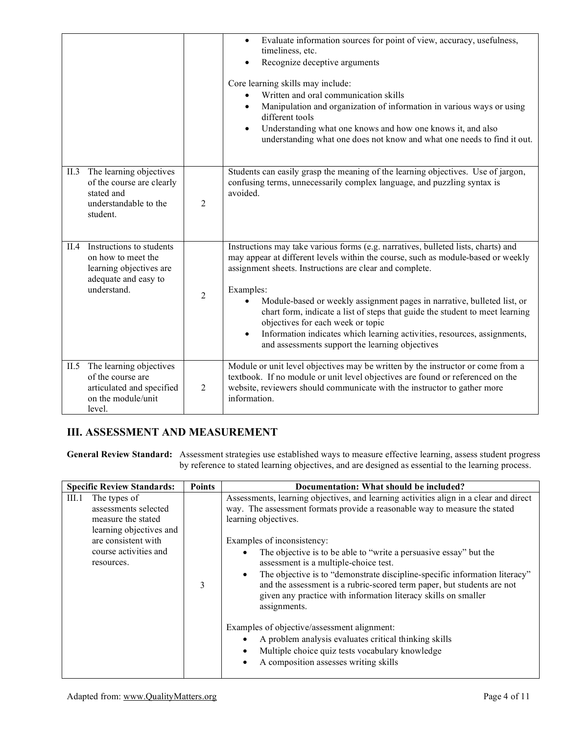|      |                                                                                                                       |                | Evaluate information sources for point of view, accuracy, usefulness,<br>timeliness, etc.<br>Recognize deceptive arguments<br>Core learning skills may include:<br>Written and oral communication skills<br>Manipulation and organization of information in various ways or using<br>$\bullet$<br>different tools<br>Understanding what one knows and how one knows it, and also<br>$\bullet$<br>understanding what one does not know and what one needs to find it out.                                                                                                     |
|------|-----------------------------------------------------------------------------------------------------------------------|----------------|------------------------------------------------------------------------------------------------------------------------------------------------------------------------------------------------------------------------------------------------------------------------------------------------------------------------------------------------------------------------------------------------------------------------------------------------------------------------------------------------------------------------------------------------------------------------------|
| II.3 | The learning objectives<br>of the course are clearly<br>stated and<br>understandable to the<br>student.               | $\overline{2}$ | Students can easily grasp the meaning of the learning objectives. Use of jargon,<br>confusing terms, unnecessarily complex language, and puzzling syntax is<br>avoided.                                                                                                                                                                                                                                                                                                                                                                                                      |
|      | II.4 Instructions to students<br>on how to meet the<br>learning objectives are<br>adequate and easy to<br>understand. | $\overline{2}$ | Instructions may take various forms (e.g. narratives, bulleted lists, charts) and<br>may appear at different levels within the course, such as module-based or weekly<br>assignment sheets. Instructions are clear and complete.<br>Examples:<br>Module-based or weekly assignment pages in narrative, bulleted list, or<br>chart form, indicate a list of steps that guide the student to meet learning<br>objectives for each week or topic<br>Information indicates which learning activities, resources, assignments,<br>and assessments support the learning objectives |
| II.5 | The learning objectives<br>of the course are<br>articulated and specified<br>on the module/unit<br>level.             | $\overline{2}$ | Module or unit level objectives may be written by the instructor or come from a<br>textbook. If no module or unit level objectives are found or referenced on the<br>website, reviewers should communicate with the instructor to gather more<br>information.                                                                                                                                                                                                                                                                                                                |

## **III. ASSESSMENT AND MEASUREMENT**

**General Review Standard:** Assessment strategies use established ways to measure effective learning, assess student progress by reference to stated learning objectives, and are designed as essential to the learning process.

| <b>Specific Review Standards:</b>                                                              | <b>Points</b> | Documentation: What should be included?                                                                                                                                                                                                                                                                                                                                                                                                                                                                                                                                                |
|------------------------------------------------------------------------------------------------|---------------|----------------------------------------------------------------------------------------------------------------------------------------------------------------------------------------------------------------------------------------------------------------------------------------------------------------------------------------------------------------------------------------------------------------------------------------------------------------------------------------------------------------------------------------------------------------------------------------|
| III.1<br>The types of<br>assessments selected<br>measure the stated<br>learning objectives and |               | Assessments, learning objectives, and learning activities align in a clear and direct<br>way. The assessment formats provide a reasonable way to measure the stated<br>learning objectives.                                                                                                                                                                                                                                                                                                                                                                                            |
| are consistent with<br>course activities and<br>resources.                                     | 3             | Examples of inconsistency:<br>The objective is to be able to "write a persuasive essay" but the<br>assessment is a multiple-choice test.<br>The objective is to "demonstrate discipline-specific information literacy"<br>and the assessment is a rubric-scored term paper, but students are not<br>given any practice with information literacy skills on smaller<br>assignments.<br>Examples of objective/assessment alignment:<br>A problem analysis evaluates critical thinking skills<br>Multiple choice quiz tests vocabulary knowledge<br>A composition assesses writing skills |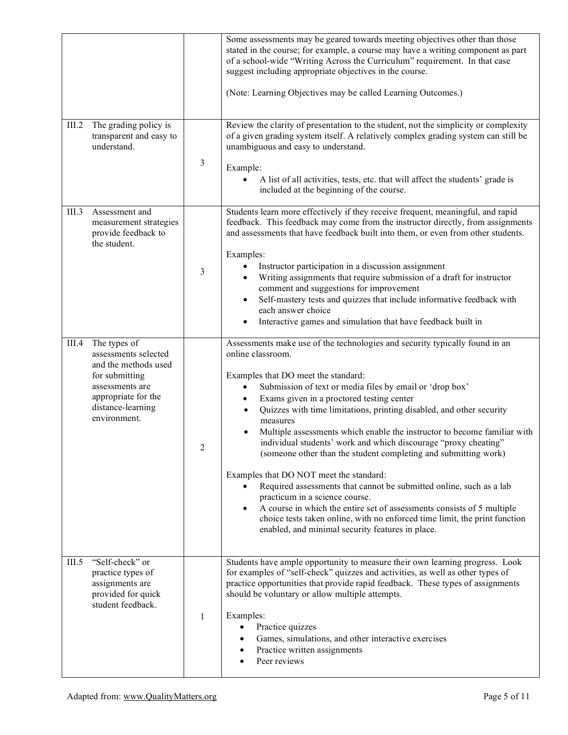| III.2 | The grading policy is                                                                                                                                         |                | Some assessments may be geared towards meeting objectives other than those<br>stated in the course; for example, a course may have a writing component as part<br>of a school-wide "Writing Across the Curriculum" requirement. In that case<br>suggest including appropriate objectives in the course.<br>(Note: Learning Objectives may be called Learning Outcomes.)<br>Review the clarity of presentation to the student, not the simplicity or complexity                                                                                                                                                                                                                                                                                                                                                                                                                                                                                                             |
|-------|---------------------------------------------------------------------------------------------------------------------------------------------------------------|----------------|----------------------------------------------------------------------------------------------------------------------------------------------------------------------------------------------------------------------------------------------------------------------------------------------------------------------------------------------------------------------------------------------------------------------------------------------------------------------------------------------------------------------------------------------------------------------------------------------------------------------------------------------------------------------------------------------------------------------------------------------------------------------------------------------------------------------------------------------------------------------------------------------------------------------------------------------------------------------------|
|       | transparent and easy to<br>understand.                                                                                                                        | 3              | of a given grading system itself. A relatively complex grading system can still be<br>unambiguous and easy to understand.<br>Example:<br>A list of all activities, tests, etc. that will affect the students' grade is<br>included at the beginning of the course.                                                                                                                                                                                                                                                                                                                                                                                                                                                                                                                                                                                                                                                                                                         |
| III.3 | Assessment and<br>measurement strategies<br>provide feedback to<br>the student.                                                                               | 3              | Students learn more effectively if they receive frequent, meaningful, and rapid<br>feedback. This feedback may come from the instructor directly, from assignments<br>and assessments that have feedback built into them, or even from other students.<br>Examples:<br>Instructor participation in a discussion assignment<br>$\bullet$<br>Writing assignments that require submission of a draft for instructor<br>comment and suggestions for improvement<br>Self-mastery tests and quizzes that include informative feedback with<br>each answer choice<br>Interactive games and simulation that have feedback built in                                                                                                                                                                                                                                                                                                                                                 |
| III.4 | The types of<br>assessments selected<br>and the methods used<br>for submitting<br>assessments are<br>appropriate for the<br>distance-learning<br>environment. | $\mathfrak{D}$ | Assessments make use of the technologies and security typically found in an<br>online classroom.<br>Examples that DO meet the standard:<br>Submission of text or media files by email or 'drop box'<br>$\bullet$<br>Exams given in a proctored testing center<br>$\bullet$<br>Quizzes with time limitations, printing disabled, and other security<br>$\bullet$<br>measures<br>Multiple assessments which enable the instructor to become familiar with<br>individual students' work and which discourage "proxy cheating"<br>(someone other than the student completing and submitting work)<br>Examples that DO NOT meet the standard:<br>Required assessments that cannot be submitted online, such as a lab<br>practicum in a science course.<br>A course in which the entire set of assessments consists of 5 multiple<br>$\bullet$<br>choice tests taken online, with no enforced time limit, the print function<br>enabled, and minimal security features in place. |
| III.5 | "Self-check" or<br>practice types of<br>assignments are<br>provided for quick<br>student feedback.                                                            | 1              | Students have ample opportunity to measure their own learning progress. Look<br>for examples of "self-check" quizzes and activities, as well as other types of<br>practice opportunities that provide rapid feedback. These types of assignments<br>should be voluntary or allow multiple attempts.<br>Examples:<br>Practice quizzes<br>$\bullet$<br>Games, simulations, and other interactive exercises<br>$\bullet$<br>Practice written assignments<br>Peer reviews                                                                                                                                                                                                                                                                                                                                                                                                                                                                                                      |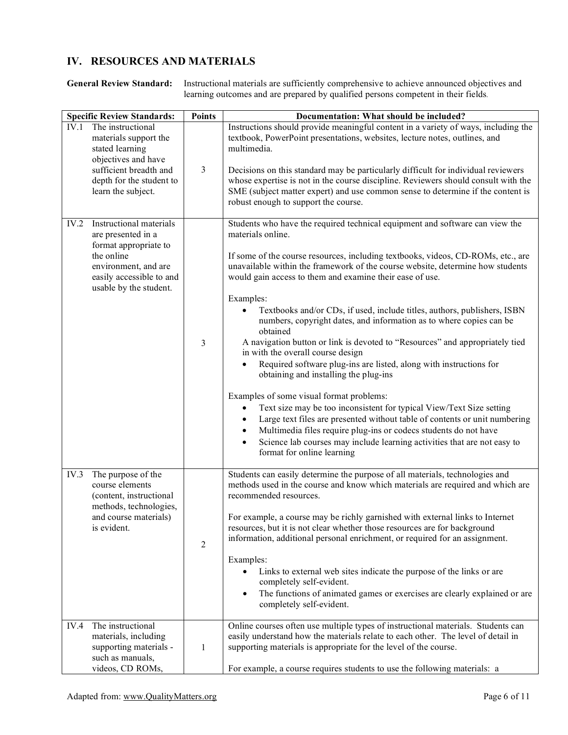### **IV. RESOURCES AND MATERIALS**

**General Review Standard:** Instructional materials are sufficiently comprehensive to achieve announced objectives and learning outcomes and are prepared by qualified persons competent in their fields.

| <b>Specific Review Standards:</b>                                                                                                                                          | <b>Points</b>  | Documentation: What should be included?                                                                                                                                                                                                                                                                                                                                                                                                                                                                                                                                                                                                                                                                                                                                                                                                                                                                                                                                                                                                                                                                                                                                    |
|----------------------------------------------------------------------------------------------------------------------------------------------------------------------------|----------------|----------------------------------------------------------------------------------------------------------------------------------------------------------------------------------------------------------------------------------------------------------------------------------------------------------------------------------------------------------------------------------------------------------------------------------------------------------------------------------------------------------------------------------------------------------------------------------------------------------------------------------------------------------------------------------------------------------------------------------------------------------------------------------------------------------------------------------------------------------------------------------------------------------------------------------------------------------------------------------------------------------------------------------------------------------------------------------------------------------------------------------------------------------------------------|
| The instructional<br>IV.1<br>materials support the<br>stated learning<br>objectives and have<br>sufficient breadth and<br>depth for the student to<br>learn the subject.   | $\overline{3}$ | Instructions should provide meaningful content in a variety of ways, including the<br>textbook, PowerPoint presentations, websites, lecture notes, outlines, and<br>multimedia.<br>Decisions on this standard may be particularly difficult for individual reviewers<br>whose expertise is not in the course discipline. Reviewers should consult with the<br>SME (subject matter expert) and use common sense to determine if the content is<br>robust enough to support the course.                                                                                                                                                                                                                                                                                                                                                                                                                                                                                                                                                                                                                                                                                      |
| IV.2<br>Instructional materials<br>are presented in a<br>format appropriate to<br>the online<br>environment, and are<br>easily accessible to and<br>usable by the student. | 3              | Students who have the required technical equipment and software can view the<br>materials online.<br>If some of the course resources, including textbooks, videos, CD-ROMs, etc., are<br>unavailable within the framework of the course website, determine how students<br>would gain access to them and examine their ease of use.<br>Examples:<br>Textbooks and/or CDs, if used, include titles, authors, publishers, ISBN<br>numbers, copyright dates, and information as to where copies can be<br>obtained<br>A navigation button or link is devoted to "Resources" and appropriately tied<br>in with the overall course design<br>Required software plug-ins are listed, along with instructions for<br>obtaining and installing the plug-ins<br>Examples of some visual format problems:<br>Text size may be too inconsistent for typical View/Text Size setting<br>$\bullet$<br>Large text files are presented without table of contents or unit numbering<br>Multimedia files require plug-ins or codecs students do not have<br>$\bullet$<br>Science lab courses may include learning activities that are not easy to<br>$\bullet$<br>format for online learning |
| IV.3<br>The purpose of the<br>course elements<br>(content, instructional<br>methods, technologies,<br>and course materials)<br>is evident.                                 | $\overline{2}$ | Students can easily determine the purpose of all materials, technologies and<br>methods used in the course and know which materials are required and which are<br>recommended resources.<br>For example, a course may be richly garnished with external links to Internet<br>resources, but it is not clear whether those resources are for background<br>information, additional personal enrichment, or required for an assignment.<br>Examples:<br>Links to external web sites indicate the purpose of the links or are<br>completely self-evident.<br>The functions of animated games or exercises are clearly explained or are<br>completely self-evident.                                                                                                                                                                                                                                                                                                                                                                                                                                                                                                            |
| The instructional<br>IV.4<br>materials, including<br>supporting materials -<br>such as manuals,<br>videos, CD ROMs,                                                        | 1              | Online courses often use multiple types of instructional materials. Students can<br>easily understand how the materials relate to each other. The level of detail in<br>supporting materials is appropriate for the level of the course.<br>For example, a course requires students to use the following materials: a                                                                                                                                                                                                                                                                                                                                                                                                                                                                                                                                                                                                                                                                                                                                                                                                                                                      |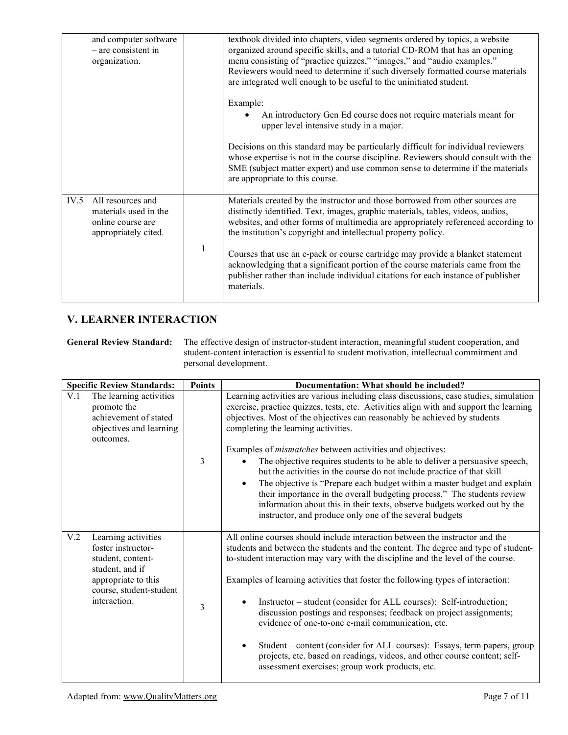| and computer software<br>$-$ are consistent in<br>organization.                                 |   | textbook divided into chapters, video segments ordered by topics, a website<br>organized around specific skills, and a tutorial CD-ROM that has an opening<br>menu consisting of "practice quizzes," "images," and "audio examples."<br>Reviewers would need to determine if such diversely formatted course materials<br>are integrated well enough to be useful to the uninitiated student. |
|-------------------------------------------------------------------------------------------------|---|-----------------------------------------------------------------------------------------------------------------------------------------------------------------------------------------------------------------------------------------------------------------------------------------------------------------------------------------------------------------------------------------------|
|                                                                                                 |   | Example:<br>An introductory Gen Ed course does not require materials meant for<br>upper level intensive study in a major.                                                                                                                                                                                                                                                                     |
|                                                                                                 |   | Decisions on this standard may be particularly difficult for individual reviewers<br>whose expertise is not in the course discipline. Reviewers should consult with the<br>SME (subject matter expert) and use common sense to determine if the materials<br>are appropriate to this course.                                                                                                  |
| IV.5<br>All resources and<br>materials used in the<br>online course are<br>appropriately cited. |   | Materials created by the instructor and those borrowed from other sources are<br>distinctly identified. Text, images, graphic materials, tables, videos, audios,<br>websites, and other forms of multimedia are appropriately referenced according to<br>the institution's copyright and intellectual property policy.                                                                        |
|                                                                                                 | 1 | Courses that use an e-pack or course cartridge may provide a blanket statement<br>acknowledging that a significant portion of the course materials came from the<br>publisher rather than include individual citations for each instance of publisher<br>materials.                                                                                                                           |

### **V. LEARNER INTERACTION**

**General Review Standard:** The effective design of instructor-student interaction, meaningful student cooperation, and student-content interaction is essential to student motivation, intellectual commitment and personal development.

|     | <b>Specific Review Standards:</b>                                                                                                                   | <b>Points</b> | Documentation: What should be included?                                                                                                                                                                                                                                                                                                                                                                                                                                                                                                                                                                                                                                                                                                                               |
|-----|-----------------------------------------------------------------------------------------------------------------------------------------------------|---------------|-----------------------------------------------------------------------------------------------------------------------------------------------------------------------------------------------------------------------------------------------------------------------------------------------------------------------------------------------------------------------------------------------------------------------------------------------------------------------------------------------------------------------------------------------------------------------------------------------------------------------------------------------------------------------------------------------------------------------------------------------------------------------|
| V.1 | The learning activities<br>promote the<br>achievement of stated<br>objectives and learning<br>outcomes.                                             |               | Learning activities are various including class discussions, case studies, simulation<br>exercise, practice quizzes, tests, etc. Activities align with and support the learning<br>objectives. Most of the objectives can reasonably be achieved by students<br>completing the learning activities.                                                                                                                                                                                                                                                                                                                                                                                                                                                                   |
|     |                                                                                                                                                     | 3             | Examples of <i>mismatches</i> between activities and objectives:<br>The objective requires students to be able to deliver a persuasive speech,<br>$\bullet$<br>but the activities in the course do not include practice of that skill<br>The objective is "Prepare each budget within a master budget and explain<br>$\bullet$<br>their importance in the overall budgeting process." The students review<br>information about this in their texts, observe budgets worked out by the<br>instructor, and produce only one of the several budgets                                                                                                                                                                                                                      |
| V.2 | Learning activities<br>foster instructor-<br>student, content-<br>student, and if<br>appropriate to this<br>course, student-student<br>interaction. | 3             | All online courses should include interaction between the instructor and the<br>students and between the students and the content. The degree and type of student-<br>to-student interaction may vary with the discipline and the level of the course.<br>Examples of learning activities that foster the following types of interaction:<br>Instructor – student (consider for ALL courses): Self-introduction;<br>discussion postings and responses; feedback on project assignments;<br>evidence of one-to-one e-mail communication, etc.<br>Student – content (consider for ALL courses): Essays, term papers, group<br>$\bullet$<br>projects, etc. based on readings, videos, and other course content; self-<br>assessment exercises; group work products, etc. |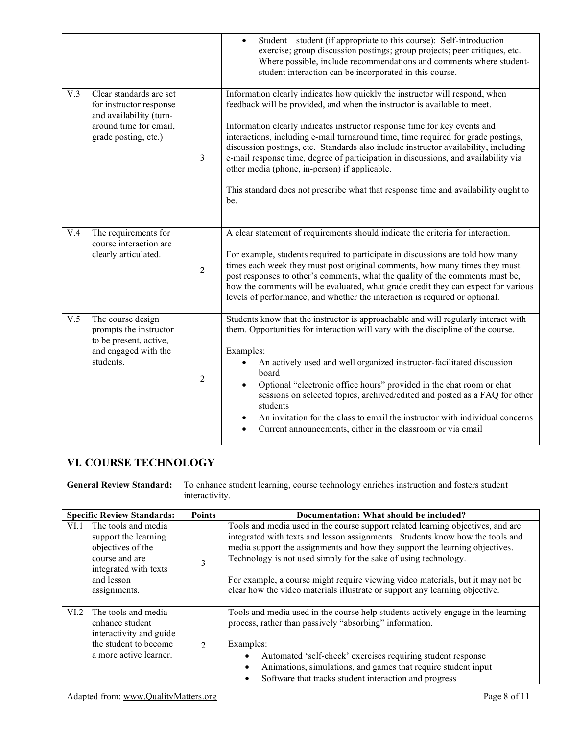|     |                                                                                                                                 |                | Student – student (if appropriate to this course): Self-introduction<br>$\bullet$<br>exercise; group discussion postings; group projects; peer critiques, etc.<br>Where possible, include recommendations and comments where student-<br>student interaction can be incorporated in this course.                                                                                                                                                                                                                                                                                                                                                     |
|-----|---------------------------------------------------------------------------------------------------------------------------------|----------------|------------------------------------------------------------------------------------------------------------------------------------------------------------------------------------------------------------------------------------------------------------------------------------------------------------------------------------------------------------------------------------------------------------------------------------------------------------------------------------------------------------------------------------------------------------------------------------------------------------------------------------------------------|
| V.3 | Clear standards are set<br>for instructor response<br>and availability (turn-<br>around time for email,<br>grade posting, etc.) | 3              | Information clearly indicates how quickly the instructor will respond, when<br>feedback will be provided, and when the instructor is available to meet.<br>Information clearly indicates instructor response time for key events and<br>interactions, including e-mail turnaround time, time required for grade postings,<br>discussion postings, etc. Standards also include instructor availability, including<br>e-mail response time, degree of participation in discussions, and availability via<br>other media (phone, in-person) if applicable.<br>This standard does not prescribe what that response time and availability ought to<br>be. |
| V.4 | The requirements for<br>course interaction are<br>clearly articulated.                                                          | $\overline{2}$ | A clear statement of requirements should indicate the criteria for interaction.<br>For example, students required to participate in discussions are told how many<br>times each week they must post original comments, how many times they must<br>post responses to other's comments, what the quality of the comments must be,<br>how the comments will be evaluated, what grade credit they can expect for various<br>levels of performance, and whether the interaction is required or optional.                                                                                                                                                 |
| V.5 | The course design<br>prompts the instructor<br>to be present, active,<br>and engaged with the<br>students.                      | $\overline{2}$ | Students know that the instructor is approachable and will regularly interact with<br>them. Opportunities for interaction will vary with the discipline of the course.<br>Examples:<br>An actively used and well organized instructor-facilitated discussion<br>$\bullet$<br>board<br>Optional "electronic office hours" provided in the chat room or chat<br>$\bullet$<br>sessions on selected topics, archived/edited and posted as a FAQ for other<br>students<br>An invitation for the class to email the instructor with individual concerns<br>$\bullet$<br>Current announcements, either in the classroom or via email                        |

#### **VI. COURSE TECHNOLOGY**

**General Review Standard:** To enhance student learning, course technology enriches instruction and fosters student interactivity.

| <b>Specific Review Standards:</b>                                                                                                                 | <b>Points</b>               | Documentation: What should be included?                                                                                                                                                                                                                                                                                                                                                                                                                                             |
|---------------------------------------------------------------------------------------------------------------------------------------------------|-----------------------------|-------------------------------------------------------------------------------------------------------------------------------------------------------------------------------------------------------------------------------------------------------------------------------------------------------------------------------------------------------------------------------------------------------------------------------------------------------------------------------------|
| The tools and media<br>VI.1<br>support the learning<br>objectives of the<br>course and are<br>integrated with texts<br>and lesson<br>assignments. | 3                           | Tools and media used in the course support related learning objectives, and are<br>integrated with texts and lesson assignments. Students know how the tools and<br>media support the assignments and how they support the learning objectives.<br>Technology is not used simply for the sake of using technology.<br>For example, a course might require viewing video materials, but it may not be<br>clear how the video materials illustrate or support any learning objective. |
| The tools and media<br>VI.2<br>enhance student<br>interactivity and guide<br>the student to become<br>a more active learner.                      | $\mathcal{D}_{\mathcal{L}}$ | Tools and media used in the course help students actively engage in the learning<br>process, rather than passively "absorbing" information.<br>Examples:<br>Automated 'self-check' exercises requiring student response<br>Animations, simulations, and games that require student input<br>$\bullet$<br>Software that tracks student interaction and progress                                                                                                                      |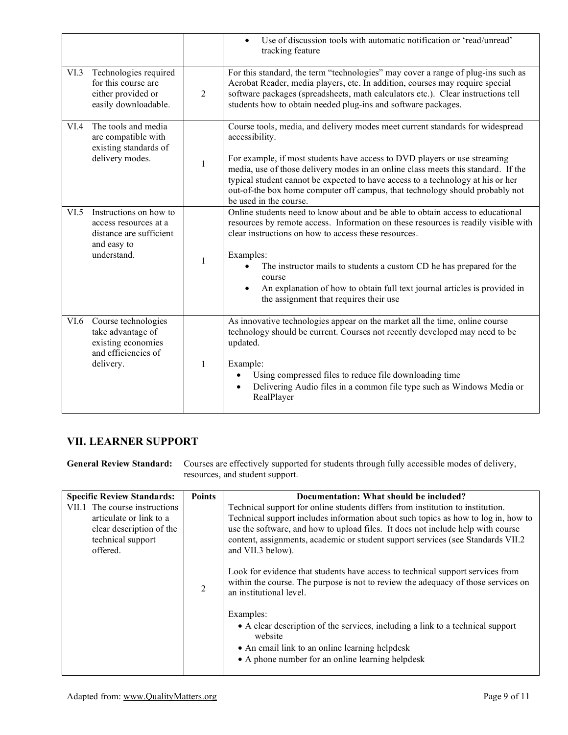|                                                                                                                  |                | Use of discussion tools with automatic notification or 'read/unread'<br>tracking feature                                                                                                                                                                                                                                                                                                                                                                        |
|------------------------------------------------------------------------------------------------------------------|----------------|-----------------------------------------------------------------------------------------------------------------------------------------------------------------------------------------------------------------------------------------------------------------------------------------------------------------------------------------------------------------------------------------------------------------------------------------------------------------|
| Technologies required<br>VI.3<br>for this course are<br>either provided or<br>easily downloadable.               | $\overline{2}$ | For this standard, the term "technologies" may cover a range of plug-ins such as<br>Acrobat Reader, media players, etc. In addition, courses may require special<br>software packages (spreadsheets, math calculators etc.). Clear instructions tell<br>students how to obtain needed plug-ins and software packages.                                                                                                                                           |
| The tools and media<br>VI.4<br>are compatible with<br>existing standards of<br>delivery modes.                   | 1              | Course tools, media, and delivery modes meet current standards for widespread<br>accessibility.<br>For example, if most students have access to DVD players or use streaming<br>media, use of those delivery modes in an online class meets this standard. If the<br>typical student cannot be expected to have access to a technology at his or her<br>out-of-the box home computer off campus, that technology should probably not<br>be used in the course.  |
| VI.5<br>Instructions on how to<br>access resources at a<br>distance are sufficient<br>and easy to<br>understand. | 1              | Online students need to know about and be able to obtain access to educational<br>resources by remote access. Information on these resources is readily visible with<br>clear instructions on how to access these resources.<br>Examples:<br>The instructor mails to students a custom CD he has prepared for the<br>course<br>An explanation of how to obtain full text journal articles is provided in<br>$\bullet$<br>the assignment that requires their use |
| VI.6<br>Course technologies<br>take advantage of<br>existing economies<br>and efficiencies of<br>delivery.       | 1              | As innovative technologies appear on the market all the time, online course<br>technology should be current. Courses not recently developed may need to be<br>updated.<br>Example:<br>Using compressed files to reduce file downloading time<br>$\bullet$<br>Delivering Audio files in a common file type such as Windows Media or<br>RealPlayer                                                                                                                |

#### **VII. LEARNER SUPPORT**

**General Review Standard:** Courses are effectively supported for students through fully accessible modes of delivery, resources, and student support.

| <b>Specific Review Standards:</b>                                                                                     | <b>Points</b> | Documentation: What should be included?                                                                                                                                                                                                                                                                                                                                                                                                                                                                                                                                                                                                                                                                                                                                           |
|-----------------------------------------------------------------------------------------------------------------------|---------------|-----------------------------------------------------------------------------------------------------------------------------------------------------------------------------------------------------------------------------------------------------------------------------------------------------------------------------------------------------------------------------------------------------------------------------------------------------------------------------------------------------------------------------------------------------------------------------------------------------------------------------------------------------------------------------------------------------------------------------------------------------------------------------------|
| VII.1 The course instructions<br>articulate or link to a<br>clear description of the<br>technical support<br>offered. | 2             | Technical support for online students differs from institution to institution.<br>Technical support includes information about such topics as how to log in, how to<br>use the software, and how to upload files. It does not include help with course<br>content, assignments, academic or student support services (see Standards VII.2)<br>and VII.3 below).<br>Look for evidence that students have access to technical support services from<br>within the course. The purpose is not to review the adequacy of those services on<br>an institutional level.<br>Examples:<br>• A clear description of the services, including a link to a technical support<br>website<br>• An email link to an online learning helpdesk<br>• A phone number for an online learning helpdesk |
|                                                                                                                       |               |                                                                                                                                                                                                                                                                                                                                                                                                                                                                                                                                                                                                                                                                                                                                                                                   |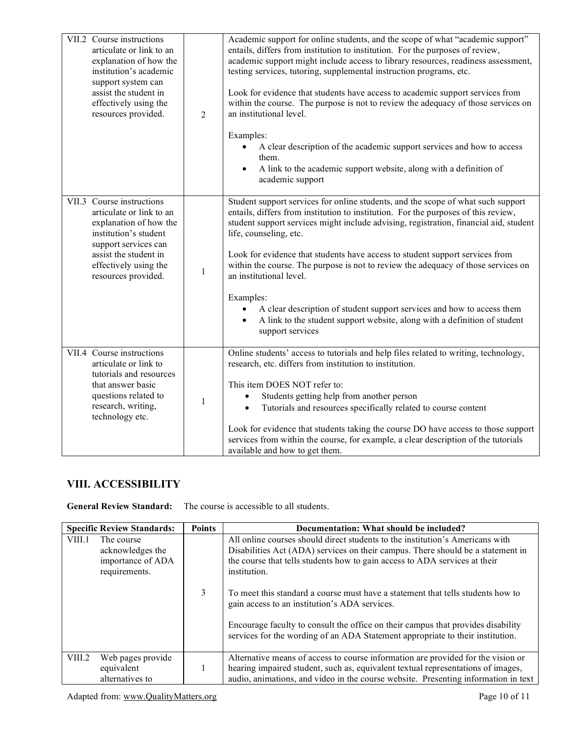| VII.2 Course instructions<br>articulate or link to an<br>explanation of how the<br>institution's academic<br>support system can<br>assist the student in<br>effectively using the<br>resources provided.  | $\overline{2}$ | Academic support for online students, and the scope of what "academic support"<br>entails, differs from institution to institution. For the purposes of review,<br>academic support might include access to library resources, readiness assessment,<br>testing services, tutoring, supplemental instruction programs, etc.<br>Look for evidence that students have access to academic support services from<br>within the course. The purpose is not to review the adequacy of those services on<br>an institutional level.<br>Examples:<br>A clear description of the academic support services and how to access<br>$\bullet$<br>them.<br>A link to the academic support website, along with a definition of<br>$\bullet$<br>academic support |
|-----------------------------------------------------------------------------------------------------------------------------------------------------------------------------------------------------------|----------------|--------------------------------------------------------------------------------------------------------------------------------------------------------------------------------------------------------------------------------------------------------------------------------------------------------------------------------------------------------------------------------------------------------------------------------------------------------------------------------------------------------------------------------------------------------------------------------------------------------------------------------------------------------------------------------------------------------------------------------------------------|
| VII.3 Course instructions<br>articulate or link to an<br>explanation of how the<br>institution's student<br>support services can<br>assist the student in<br>effectively using the<br>resources provided. | 1              | Student support services for online students, and the scope of what such support<br>entails, differs from institution to institution. For the purposes of this review,<br>student support services might include advising, registration, financial aid, student<br>life, counseling, etc.<br>Look for evidence that students have access to student support services from<br>within the course. The purpose is not to review the adequacy of those services on<br>an institutional level.<br>Examples:<br>A clear description of student support services and how to access them<br>A link to the student support website, along with a definition of student<br>$\bullet$<br>support services                                                   |
| VII.4 Course instructions<br>articulate or link to<br>tutorials and resources<br>that answer basic<br>questions related to<br>research, writing,<br>technology etc.                                       | $\mathbf{1}$   | Online students' access to tutorials and help files related to writing, technology,<br>research, etc. differs from institution to institution.<br>This item DOES NOT refer to:<br>Students getting help from another person<br>$\bullet$<br>Tutorials and resources specifically related to course content<br>$\bullet$<br>Look for evidence that students taking the course DO have access to those support<br>services from within the course, for example, a clear description of the tutorials<br>available and how to get them.                                                                                                                                                                                                             |

### **VIII. ACCESSIBILITY**

**General Review Standard:** The course is accessible to all students.

| <b>Specific Review Standards:</b> |                                                                      | <b>Points</b> | Documentation: What should be included?                                                                                                                                                                                                                                                                                                                                                                                                                                                                                                                                  |
|-----------------------------------|----------------------------------------------------------------------|---------------|--------------------------------------------------------------------------------------------------------------------------------------------------------------------------------------------------------------------------------------------------------------------------------------------------------------------------------------------------------------------------------------------------------------------------------------------------------------------------------------------------------------------------------------------------------------------------|
| VIII.1                            | The course<br>acknowledges the<br>importance of ADA<br>requirements. | 3             | All online courses should direct students to the institution's Americans with<br>Disabilities Act (ADA) services on their campus. There should be a statement in<br>the course that tells students how to gain access to ADA services at their<br>institution.<br>To meet this standard a course must have a statement that tells students how to<br>gain access to an institution's ADA services.<br>Encourage faculty to consult the office on their campus that provides disability<br>services for the wording of an ADA Statement appropriate to their institution. |
| VIII.2                            | Web pages provide<br>equivalent<br>alternatives to                   |               | Alternative means of access to course information are provided for the vision or<br>hearing impaired student, such as, equivalent textual representations of images,<br>audio, animations, and video in the course website. Presenting information in text                                                                                                                                                                                                                                                                                                               |